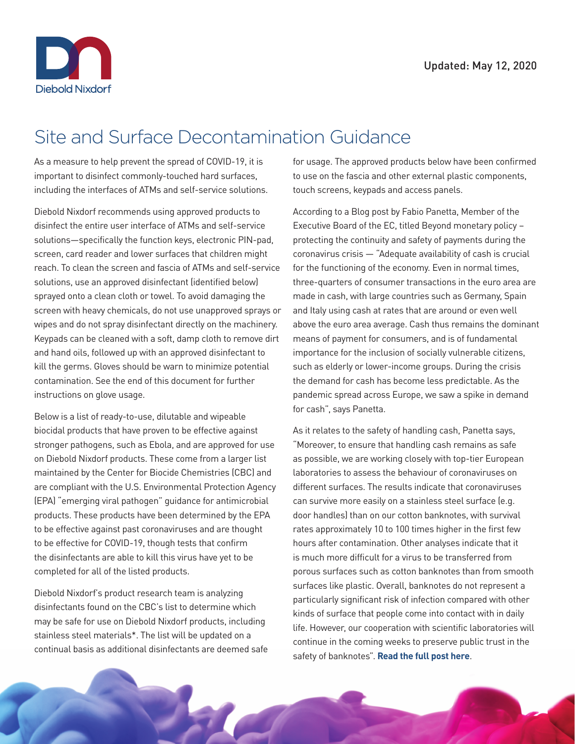

## Site and Surface Decontamination Guidance

As a measure to help prevent the spread of COVID-19, it is important to disinfect commonly-touched hard surfaces, including the interfaces of ATMs and self-service solutions.

Diebold Nixdorf recommends using approved products to disinfect the entire user interface of ATMs and self-service solutions—specifically the function keys, electronic PIN-pad, screen, card reader and lower surfaces that children might reach. To clean the screen and fascia of ATMs and self-service solutions, use an approved disinfectant (identified below) sprayed onto a clean cloth or towel. To avoid damaging the screen with heavy chemicals, do not use unapproved sprays or wipes and do not spray disinfectant directly on the machinery. Keypads can be cleaned with a soft, damp cloth to remove dirt and hand oils, followed up with an approved disinfectant to kill the germs. Gloves should be warn to minimize potential contamination. See the end of this document for further instructions on glove usage.

Below is a list of ready-to-use, dilutable and wipeable biocidal products that have proven to be effective against stronger pathogens, such as Ebola, and are approved for use on Diebold Nixdorf products. These come from a larger list maintained by the Center for Biocide Chemistries (CBC) and are compliant with the U.S. Environmental Protection Agency (EPA) "emerging viral pathogen" guidance for antimicrobial products. These products have been determined by the EPA to be effective against past coronaviruses and are thought to be effective for COVID-19, though tests that confirm the disinfectants are able to kill this virus have yet to be completed for all of the listed products.

Diebold Nixdorf's product research team is analyzing disinfectants found on the CBC's list to determine which may be safe for use on Diebold Nixdorf products, including stainless steel materials\*. The list will be updated on a continual basis as additional disinfectants are deemed safe for usage. The approved products below have been confirmed to use on the fascia and other external plastic components, touch screens, keypads and access panels.

According to a Blog post by Fabio Panetta, Member of the Executive Board of the EC, titled Beyond monetary policy – protecting the continuity and safety of payments during the coronavirus crisis — "Adequate availability of cash is crucial for the functioning of the economy. Even in normal times, three-quarters of consumer transactions in the euro area are made in cash, with large countries such as Germany, Spain and Italy using cash at rates that are around or even well above the euro area average. Cash thus remains the dominant means of payment for consumers, and is of fundamental importance for the inclusion of socially vulnerable citizens, such as elderly or lower-income groups. During the crisis the demand for cash has become less predictable. As the pandemic spread across Europe, we saw a spike in demand for cash", says Panetta.

As it relates to the safety of handling cash, Panetta says, "Moreover, to ensure that handling cash remains as safe as possible, we are working closely with top-tier European laboratories to assess the behaviour of coronaviruses on different surfaces. The results indicate that coronaviruses can survive more easily on a stainless steel surface (e.g. door handles) than on our cotton banknotes, with survival rates approximately 10 to 100 times higher in the first few hours after contamination. Other analyses indicate that it is much more difficult for a virus to be transferred from porous surfaces such as cotton banknotes than from smooth surfaces like plastic. Overall, banknotes do not represent a particularly significant risk of infection compared with other kinds of surface that people come into contact with in daily life. However, our cooperation with scientific laboratories will continue in the coming weeks to preserve public trust in the safety of banknotes". **[Read the full post here](https://www.ecb.europa.eu/press/blog/date/2020/html/ecb.blog200428~328d7ca065.en.html)**.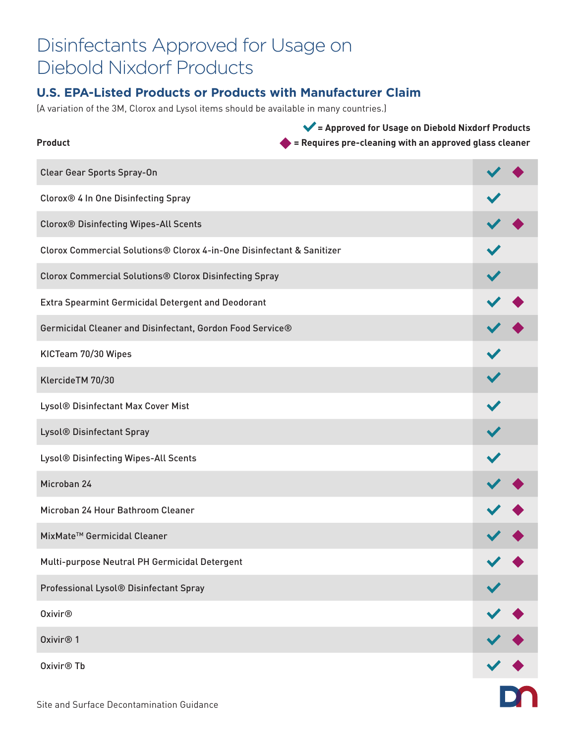## Disinfectants Approved for Usage on Diebold Nixdorf Products

#### **U.S. EPA-Listed Products or Products with Manufacturer Claim**

(A variation of the 3M, Clorox and Lysol items should be available in many countries.)

| <b>Product</b>                                                        | $\blacktriangleright$ = Approved for Usage on Diebold Nixdorf Products<br>= Requires pre-cleaning with an approved glass cleaner |  |   |
|-----------------------------------------------------------------------|----------------------------------------------------------------------------------------------------------------------------------|--|---|
| <b>Clear Gear Sports Spray-On</b>                                     |                                                                                                                                  |  |   |
| Clorox® 4 In One Disinfecting Spray                                   |                                                                                                                                  |  |   |
| <b>Clorox® Disinfecting Wipes-All Scents</b>                          |                                                                                                                                  |  |   |
| Clorox Commercial Solutions® Clorox 4-in-One Disinfectant & Sanitizer |                                                                                                                                  |  |   |
| <b>Clorox Commercial Solutions® Clorox Disinfecting Spray</b>         |                                                                                                                                  |  |   |
| <b>Extra Spearmint Germicidal Detergent and Deodorant</b>             |                                                                                                                                  |  |   |
| Germicidal Cleaner and Disinfectant, Gordon Food Service®             |                                                                                                                                  |  |   |
| KICTeam 70/30 Wipes                                                   |                                                                                                                                  |  |   |
| KlercideTM 70/30                                                      |                                                                                                                                  |  |   |
| Lysol® Disinfectant Max Cover Mist                                    |                                                                                                                                  |  |   |
| Lysol® Disinfectant Spray                                             |                                                                                                                                  |  |   |
| Lysol® Disinfecting Wipes-All Scents                                  |                                                                                                                                  |  |   |
| Microban 24                                                           |                                                                                                                                  |  |   |
| Microban 24 Hour Bathroom Cleaner                                     |                                                                                                                                  |  |   |
| MixMate <sup>™</sup> Germicidal Cleaner                               |                                                                                                                                  |  |   |
| Multi-purpose Neutral PH Germicidal Detergent                         |                                                                                                                                  |  |   |
| Professional Lysol® Disinfectant Spray                                |                                                                                                                                  |  |   |
| <b>Oxivir®</b>                                                        |                                                                                                                                  |  |   |
| Oxivir <sup>®</sup> 1                                                 |                                                                                                                                  |  |   |
| Oxivir <sup>®</sup> Tb                                                |                                                                                                                                  |  |   |
| Site and Surface Decontamination Guidance                             |                                                                                                                                  |  | I |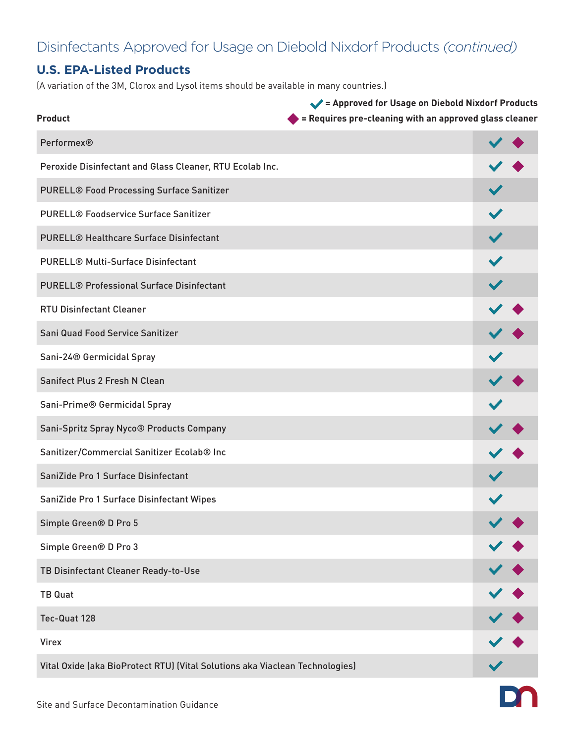### Disinfectants Approved for Usage on Diebold Nixdorf Products *(continued)*

#### **U.S. EPA-Listed Products**

(A variation of the 3M, Clorox and Lysol items should be available in many countries.)

| <b>Product</b>                                                               | Approved for Usage on Diebold Nixdorf Products<br>= Requires pre-cleaning with an approved glass cleaner |                |  |
|------------------------------------------------------------------------------|----------------------------------------------------------------------------------------------------------|----------------|--|
| <b>Performex®</b>                                                            |                                                                                                          |                |  |
| Peroxide Disinfectant and Glass Cleaner, RTU Ecolab Inc.                     |                                                                                                          |                |  |
| <b>PURELL® Food Processing Surface Sanitizer</b>                             |                                                                                                          |                |  |
| <b>PURELL® Foodservice Surface Sanitizer</b>                                 |                                                                                                          |                |  |
| <b>PURELL® Healthcare Surface Disinfectant</b>                               |                                                                                                          |                |  |
| <b>PURELL® Multi-Surface Disinfectant</b>                                    |                                                                                                          |                |  |
| <b>PURELL® Professional Surface Disinfectant</b>                             |                                                                                                          |                |  |
| <b>RTU Disinfectant Cleaner</b>                                              |                                                                                                          |                |  |
| Sani Quad Food Service Sanitizer                                             |                                                                                                          |                |  |
| Sani-24® Germicidal Spray                                                    |                                                                                                          |                |  |
| Sanifect Plus 2 Fresh N Clean                                                |                                                                                                          |                |  |
| Sani-Prime® Germicidal Spray                                                 |                                                                                                          |                |  |
| Sani-Spritz Spray Nyco® Products Company                                     |                                                                                                          |                |  |
| Sanitizer/Commercial Sanitizer Ecolab® Inc                                   |                                                                                                          |                |  |
| SaniZide Pro 1 Surface Disinfectant                                          |                                                                                                          |                |  |
| SaniZide Pro 1 Surface Disinfectant Wipes                                    |                                                                                                          |                |  |
| Simple Green® D Pro 5                                                        |                                                                                                          |                |  |
| Simple Green® D Pro 3                                                        |                                                                                                          |                |  |
| TB Disinfectant Cleaner Ready-to-Use                                         |                                                                                                          |                |  |
| <b>TB Quat</b>                                                               |                                                                                                          |                |  |
| Tec-Quat 128                                                                 |                                                                                                          | $\checkmark$ . |  |
| <b>Virex</b>                                                                 |                                                                                                          |                |  |
| Vital Oxide (aka BioProtect RTU) (Vital Solutions aka Viaclean Technologies) |                                                                                                          |                |  |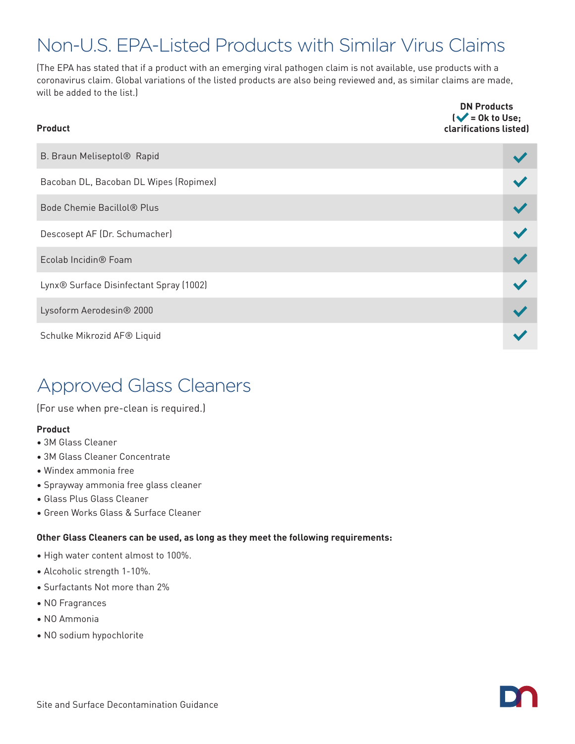# Non-U.S. EPA-Listed Products with Similar Virus Claims

(The EPA has stated that if a product with an emerging viral pathogen claim is not available, use products with a coronavirus claim. Global variations of the listed products are also being reviewed and, as similar claims are made, will be added to the list.)

**DN Products** 

| <b>Product</b>                                      | $\mathsf{l}\blacktriangleright\mathsf{l}$ = 0k to Use;<br>clarifications listed) |  |
|-----------------------------------------------------|----------------------------------------------------------------------------------|--|
| B. Braun Meliseptol® Rapid                          |                                                                                  |  |
| Bacoban DL, Bacoban DL Wipes (Ropimex)              |                                                                                  |  |
| Bode Chemie Bacillol <sup>®</sup> Plus              |                                                                                  |  |
| Descosept AF (Dr. Schumacher)                       |                                                                                  |  |
| Ecolab Incidin <sup>®</sup> Foam                    |                                                                                  |  |
| Lynx <sup>®</sup> Surface Disinfectant Spray (1002) |                                                                                  |  |
| Lysoform Aerodesin® 2000                            |                                                                                  |  |
| Schulke Mikrozid AF® Liquid                         |                                                                                  |  |

# Approved Glass Cleaners

(For use when pre-clean is required.)

#### **Product**

- 3M Glass Cleaner
- 3M Glass Cleaner Concentrate
- Windex ammonia free
- Sprayway ammonia free glass cleaner
- Glass Plus Glass Cleaner
- Green Works Glass & Surface Cleaner

#### **Other Glass Cleaners can be used, as long as they meet the following requirements:**

- High water content almost to 100%.
- Alcoholic strength 1-10%.
- Surfactants Not more than 2%
- NO Fragrances
- NO Ammonia
- NO sodium hypochlorite